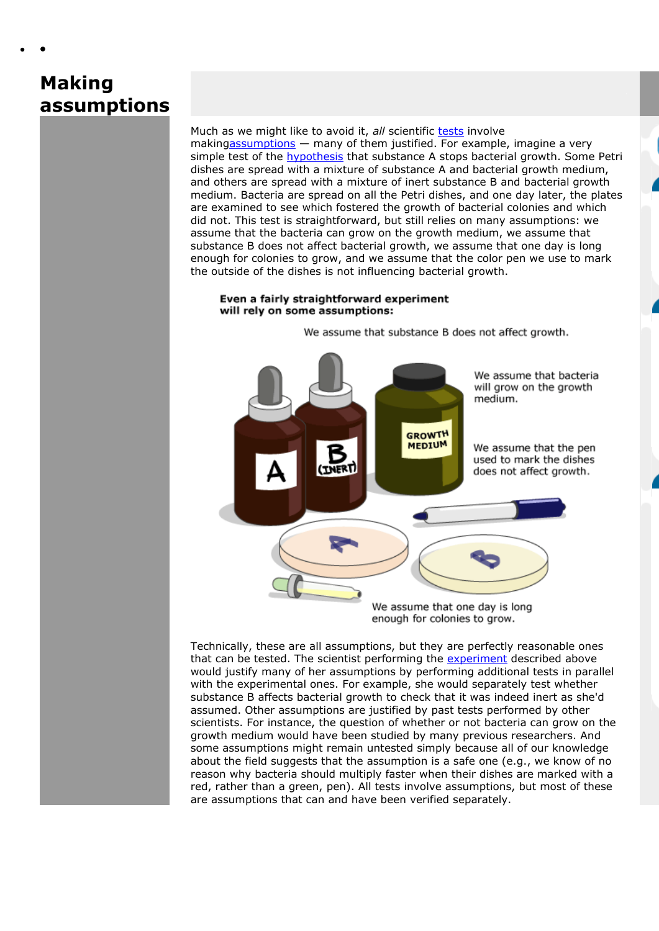## **Making assumptions**

Much as we might like to avoid it, *all* scientific [tests](http://undsci.berkeley.edu/glossary/glossary_popup.php?word=test) involve makin[gassumptions](http://undsci.berkeley.edu/glossary/glossary_popup.php?word=assumption) — many of them justified. For example, imagine a very simple test of the **[hypothesis](http://undsci.berkeley.edu/glossary/glossary_popup.php?word=hypothesis)** that substance A stops bacterial growth. Some Petri dishes are spread with a mixture of substance A and bacterial growth medium, and others are spread with a mixture of inert substance B and bacterial growth medium. Bacteria are spread on all the Petri dishes, and one day later, the plates are examined to see which fostered the growth of bacterial colonies and which did not. This test is straightforward, but still relies on many assumptions: we assume that the bacteria can grow on the growth medium, we assume that substance B does not affect bacterial growth, we assume that one day is long enough for colonies to grow, and we assume that the color pen we use to mark the outside of the dishes is not influencing bacterial growth.

## Even a fairly straightforward experiment will rely on some assumptions:

We assume that substance B does not affect growth.



Technically, these are all assumptions, but they are perfectly reasonable ones that can be tested. The scientist performing the [experiment](http://undsci.berkeley.edu/glossary/glossary_popup.php?word=experiment) described above would justify many of her assumptions by performing additional tests in parallel with the experimental ones. For example, she would separately test whether substance B affects bacterial growth to check that it was indeed inert as she'd assumed. Other assumptions are justified by past tests performed by other scientists. For instance, the question of whether or not bacteria can grow on the growth medium would have been studied by many previous researchers. And some assumptions might remain untested simply because all of our knowledge about the field suggests that the assumption is a safe one (e.g., we know of no reason why bacteria should multiply faster when their dishes are marked with a red, rather than a green, pen). All tests involve assumptions, but most of these are assumptions that can and have been verified separately.